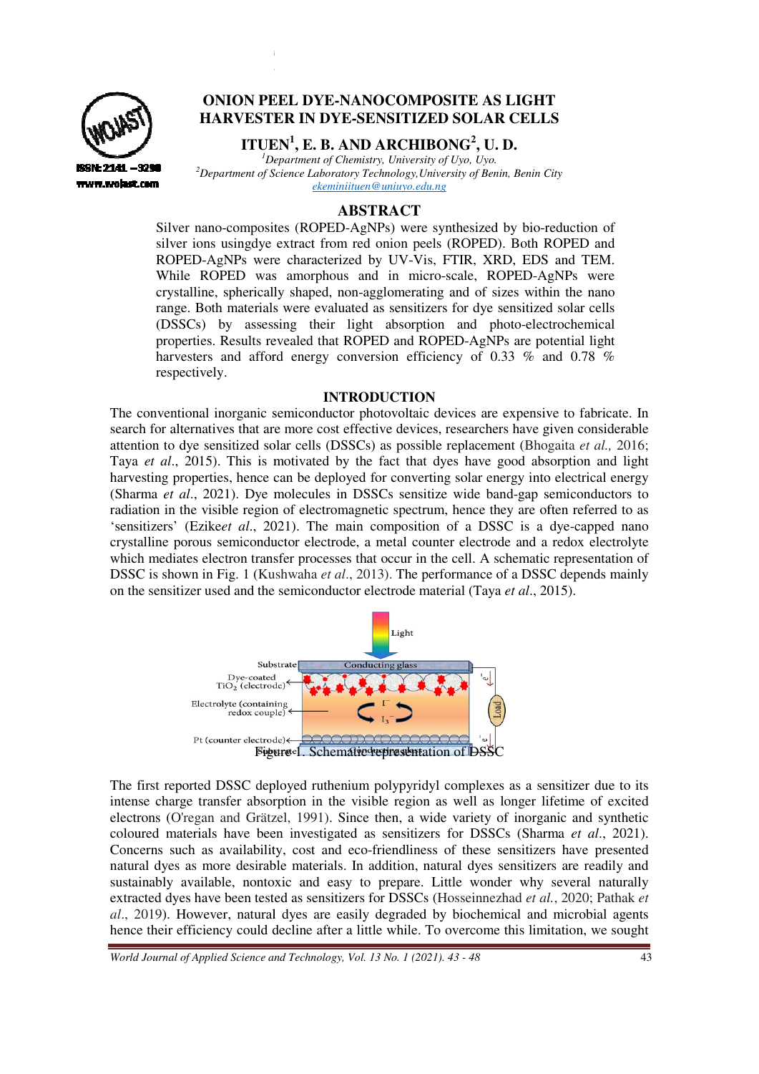

www.waiast.co

## **ONION PEEL DYE DYE-NANOCOMPOSITE AS LIGHT ONION PEEL DYE-NANOCOMPOSITE AS LIGHT<br>HARVESTER IN DYE-SENSITIZED SOLAR CELLS**

**ITUEN<sup>1</sup>, E. B. AND ARCHIBONG<sup>2</sup>, U. D.** 

*<sup>1</sup>Department of Chemistry, University of Uyo, Uyo.* <sup>2</sup>Department of Science Laboratory Technology, University of Benin, Benin City *ekeminiituen@uniuyo.edu.ng*

## **ABSTRACT**

Silver nano-composites (ROPED-AgNPs) were synthesized by bio-reduction of silver ions usingdye extract from red onion peels (ROPED). Both ROPED and ROPED-AgNPs were characterized by UV-Vis, FTIR, XRD, EDS and TEM. While ROPED was amorphous and in micro-scale, ROPED-AgNPs crystalline, spherically shaped, non-agglomerating and of sizes within the nano range. Both materials were evaluated as sensitizers for dye sensitized solar cells (DSSCs) by assessing their light absorption and photo-electrochemical properties. Results revealed that ROPED and ROPED-AgNPs are potential light harvesters and afford energy conversion efficiency of 0.33 % and 0.78 % respectively. ere synthesized by bio-reduction of<br>peels (ROPED). Both ROPED and<br>Vis, FTIR, XRD, EDS and TEM.<br>micro-scale, ROPED-AgNPs were agglomerating and of sizes within the nano<br>d as sensitizers for dye sensitized solar cells<br>ht absorption and photo-electrochemical<br>PED and ROPED-AgNPs are potential light<br>rersion efficiency of 0.33 % and 0.78 %<br>DDUCTION<br>bh

### **INTRODUCTION**

The conventional inorganic semiconductor photovoltaic devices are expensive to fabricate. In search for alternatives that are more cost effective devices, researchers have given considerable attention to dye sensitized solar cells (DSSC (DSSCs) as possible replacement (Bhogaita Taya *et al*., 2015). This is motivated by the fact that dyes have good absorption and light harvesting properties, hence can be deployed for converting solar energy into electrical energy (Sharma et al., 2021). Dye molecules in DSSCs sensitize wide band-gap semiconductors to radiation in the visible region of electromagnetic spectrum, hence they are often referred to as 'sensitizers' (Ezike*et al*., 2021) 2021). The main composition of a DSSC is a dye crystalline porous semiconductor electrode, a metal counter electrode and a redox electrolyte which mediates electron transfer processes that occur in the cell. A schematic representation of DSSC is shown in Fig. 1 (Kushwaha *et al.*, 2013). The performance of a DSSC depends mainly on the sensitizer used and the semiconductor electrode material (Taya et al., 2015). band-gap semiconductors to<br>they are often referred to as<br>SSC is a dye-capped nano



The first reported DSSC deployed ruthenium polypyridyl complexes as a sensitizer due to its intense charge transfer absorption in the visible region as well as longer lifetime of excited electrons (O'regan and Grätzel, 1991). Since then, a wide variety of inorganic and synthetic coloured materials have been investigated as sensitizers for DSSCs (Sharma *et al*., 2021). Concerns such as availability, cost and eco-friendliness of these sensitizers have presented natural dyes as more desirable materials. In addition, natural dyes sensitizers are readily and sustainably available, nontoxic and easy to prepare. Little wonder why several naturally extracted dyes have been tested as sensitizers for DSSCs (Hosseinnezhad et al., 2020; Pathak et al., 2019). However, natural dyes are easily degraded by biochemical and microbial agents hence their efficiency could decline after a little while. To overcome this limitation, we sought ility, cost and eco-friendliness of these sensitizers have presented rable materials. In addition, natural dyes sensitizers are readily and ntoxic and easy to prepare. Little wonder why several naturally ested as sensitize

World Journal of Applied Science and Technology, Vol. 13 No. 1 (2021). 43 - 48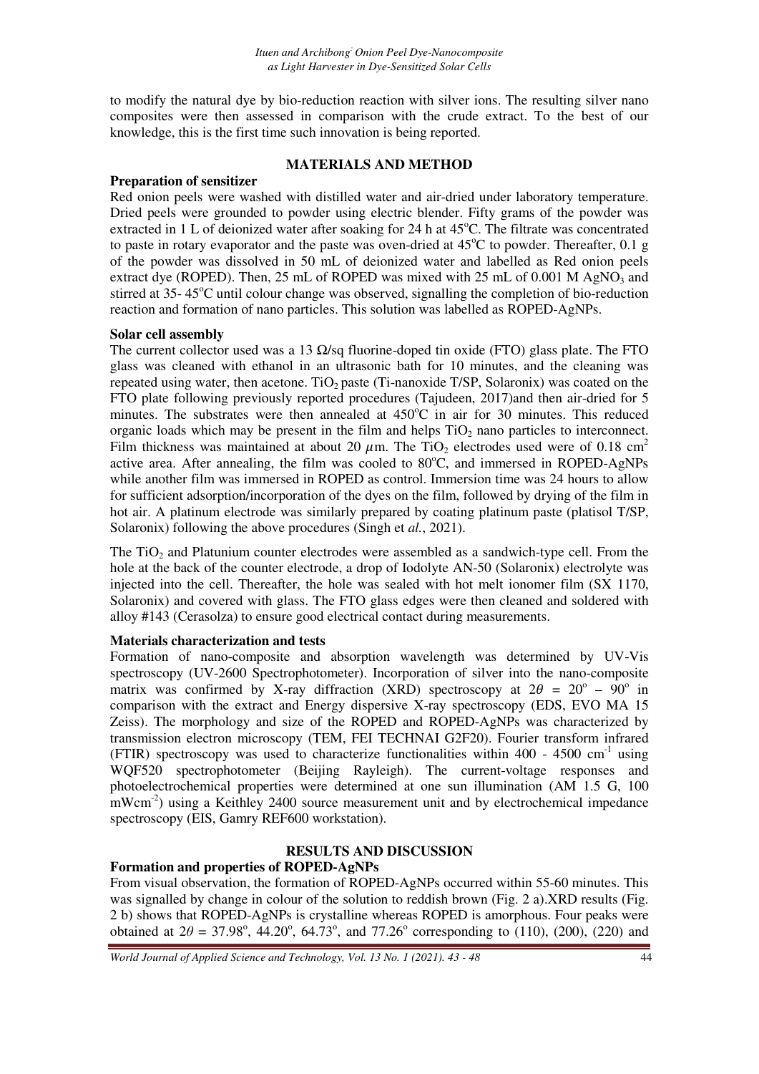to modify the natural dye by bio-reduction reaction with silver ions. The resulting silver nano composites were then assessed in comparison with the crude extract. To the best of our knowledge, this is the first time such innovation is being reported.

## **MATERIALS AND METHOD**

### **Preparation of sensitizer**

Red onion peels were washed with distilled water and air-dried under laboratory temperature. Dried peels were grounded to powder using electric blender. Fifty grams of the powder was extracted in 1 L of deionized water after soaking for 24 h at  $45^{\circ}$ C. The filtrate was concentrated to paste in rotary evaporator and the paste was oven-dried at  $45^{\circ}$ C to powder. Thereafter, 0.1 g of the powder was dissolved in 50 mL of deionized water and labelled as Red onion peels extract dye (ROPED). Then, 25 mL of ROPED was mixed with 25 mL of 0.001 M  $AgNO<sub>3</sub>$  and stirred at  $35-45^{\circ}$ C until colour change was observed, signalling the completion of bio-reduction reaction and formation of nano particles. This solution was labelled as ROPED-AgNPs.

#### **Solar cell assembly**

The current collector used was a 13  $\Omega$ /sq fluorine-doped tin oxide (FTO) glass plate. The FTO glass was cleaned with ethanol in an ultrasonic bath for 10 minutes, and the cleaning was repeated using water, then acetone. TiO<sub>2</sub> paste (Ti-nanoxide T/SP, Solaronix) was coated on the FTO plate following previously reported procedures (Tajudeen, 2017)and then air-dried for 5 minutes. The substrates were then annealed at  $450^{\circ}$ C in air for 30 minutes. This reduced organic loads which may be present in the film and helps  $TiO<sub>2</sub>$  nano particles to interconnect. Film thickness was maintained at about 20  $\mu$ m. The TiO<sub>2</sub> electrodes used were of 0.18 cm<sup>2</sup> active area. After annealing, the film was cooled to  $80^{\circ}$ C, and immersed in ROPED-AgNPs while another film was immersed in ROPED as control. Immersion time was 24 hours to allow for sufficient adsorption/incorporation of the dyes on the film, followed by drying of the film in hot air. A platinum electrode was similarly prepared by coating platinum paste (platisol T/SP, Solaronix) following the above procedures (Singh et *al.*, 2021).

The TiO<sub>2</sub> and Platunium counter electrodes were assembled as a sandwich-type cell. From the hole at the back of the counter electrode, a drop of Iodolyte AN-50 (Solaronix) electrolyte was injected into the cell. Thereafter, the hole was sealed with hot melt ionomer film (SX 1170, Solaronix) and covered with glass. The FTO glass edges were then cleaned and soldered with alloy #143 (Cerasolza) to ensure good electrical contact during measurements.

### **Materials characterization and tests**

Formation of nano-composite and absorption wavelength was determined by UV-Vis spectroscopy (UV-2600 Spectrophotometer). Incorporation of silver into the nano-composite matrix was confirmed by X-ray diffraction (XRD) spectroscopy at  $2\theta = 20^{\circ} - 90^{\circ}$  in comparison with the extract and Energy dispersive X-ray spectroscopy (EDS, EVO MA 15 Zeiss). The morphology and size of the ROPED and ROPED-AgNPs was characterized by transmission electron microscopy (TEM, FEI TECHNAI G2F20). Fourier transform infrared (FTIR) spectroscopy was used to characterize functionalities within  $400 - 4500$  cm<sup>-1</sup> using WQF520 spectrophotometer (Beijing Rayleigh). The current-voltage responses and photoelectrochemical properties were determined at one sun illumination (AM 1.5 G, 100 mWcm<sup>-2</sup>) using a Keithley 2400 source measurement unit and by electrochemical impedance spectroscopy (EIS, Gamry REF600 workstation).

### **RESULTS AND DISCUSSION**

### **Formation and properties of ROPED-AgNPs**

From visual observation, the formation of ROPED-AgNPs occurred within 55-60 minutes. This was signalled by change in colour of the solution to reddish brown (Fig. 2 a).XRD results (Fig. 2 b) shows that ROPED-AgNPs is crystalline whereas ROPED is amorphous. Four peaks were obtained at  $2\theta = 37.98^{\circ}$ ,  $44.20^{\circ}$ ,  $64.73^{\circ}$ , and  $77.26^{\circ}$  corresponding to (110), (200), (220) and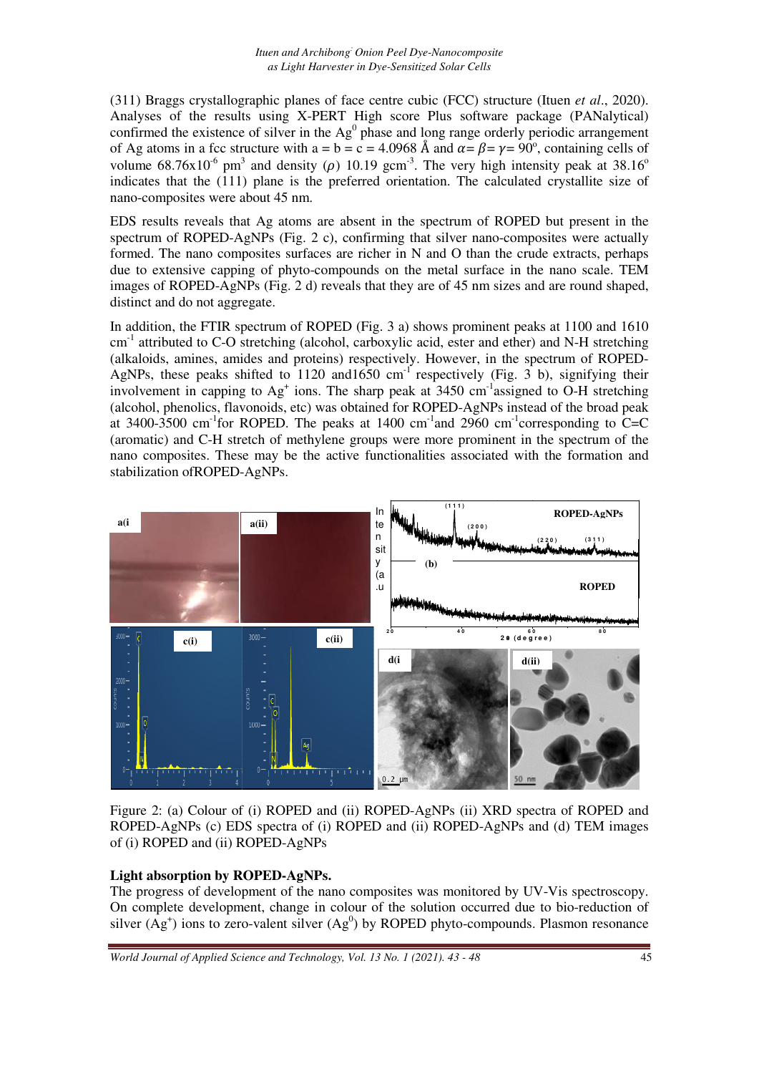(311) Braggs crystallographic planes of face centre cubic (FCC) structure (Ituen *et al*., 2020). Analyses of the results using X-PERT High score Plus software package (PANalytical) confirmed the existence of silver in the  $Ag<sup>0</sup>$  phase and long range orderly periodic arrangement of Ag atoms in a fcc structure with  $a = b = c = 4.0968$  Å and  $\alpha = \beta = \gamma = 90^{\circ}$ , containing cells of volume 68.76x10<sup>-6</sup> pm<sup>3</sup> and density ( $\rho$ ) 10.19 gcm<sup>-3</sup>. The very high intensity peak at 38.16<sup>o</sup> indicates that the (111) plane is the preferred orientation. The calculated crystallite size of nano-composites were about 45 nm.

EDS results reveals that Ag atoms are absent in the spectrum of ROPED but present in the spectrum of ROPED-AgNPs (Fig. 2 c), confirming that silver nano-composites were actually formed. The nano composites surfaces are richer in N and O than the crude extracts, perhaps due to extensive capping of phyto-compounds on the metal surface in the nano scale. TEM images of ROPED-AgNPs (Fig. 2 d) reveals that they are of 45 nm sizes and are round shaped, distinct and do not aggregate.

In addition, the FTIR spectrum of ROPED (Fig. 3 a) shows prominent peaks at 1100 and 1610 cm-1 attributed to C-O stretching (alcohol, carboxylic acid, ester and ether) and N-H stretching (alkaloids, amines, amides and proteins) respectively. However, in the spectrum of ROPED-AgNPs, these peaks shifted to  $1120$  and  $1650$  cm<sup>-1</sup> respectively (Fig. 3 b), signifying their involvement in capping to  $Ag<sup>+</sup>$  ions. The sharp peak at 3450 cm<sup>-1</sup>assigned to O-H stretching (alcohol, phenolics, flavonoids, etc) was obtained for ROPED-AgNPs instead of the broad peak at 3400-3500 cm<sup>-1</sup>for ROPED. The peaks at 1400 cm<sup>-1</sup>and 2960 cm<sup>-1</sup>corresponding to C=C (aromatic) and C-H stretch of methylene groups were more prominent in the spectrum of the nano composites. These may be the active functionalities associated with the formation and stabilization ofROPED-AgNPs.



Figure 2: (a) Colour of (i) ROPED and (ii) ROPED-AgNPs (ii) XRD spectra of ROPED and ROPED-AgNPs (c) EDS spectra of (i) ROPED and (ii) ROPED-AgNPs and (d) TEM images of (i) ROPED and (ii) ROPED-AgNPs

# **Light absorption by ROPED-AgNPs.**

The progress of development of the nano composites was monitored by UV-Vis spectroscopy. On complete development, change in colour of the solution occurred due to bio-reduction of silver  $(Ag^+)$  ions to zero-valent silver  $(Ag^0)$  by ROPED phyto-compounds. Plasmon resonance

*World Journal of Applied Science and Technology, Vol. 13 No. 1 (2021). 43 - 48* 45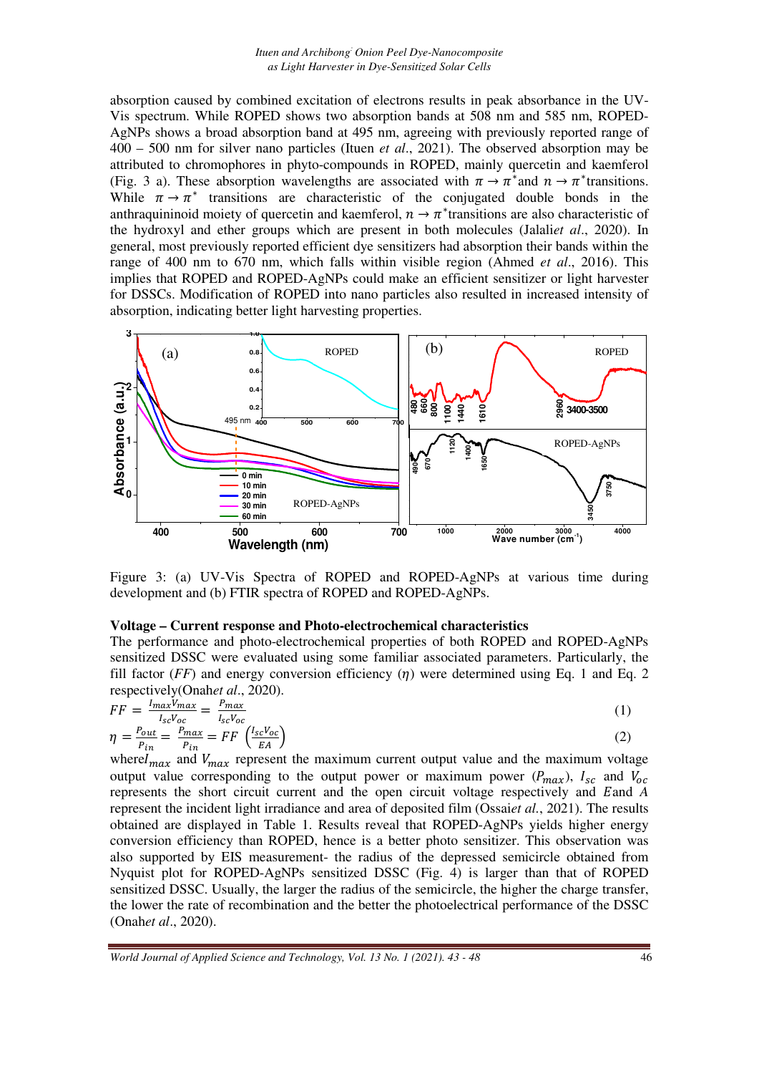absorption caused by combined excitation of electrons results in peak absorbance in the UV-Vis spectrum. While ROPED shows two absorption bands at 508 nm and 585 nm, ROPED-AgNPs shows a broad absorption band at 495 nm, agreeing with previously reported range of 400 – 500 nm for silver nano particles (Ituen *et al*., 2021). The observed absorption may be attributed to chromophores in phyto-compounds in ROPED, mainly quercetin and kaemferol (Fig. 3 a). These absorption wavelengths are associated with  $\pi \to \pi^*$  and  $n \to \pi^*$  transitions. While  $\pi \to \pi^*$  transitions are characteristic of the conjugated double bonds in the anthraquininoid moiety of quercetin and kaemferol,  $n \to \pi^*$  transitions are also characteristic of the hydroxyl and ether groups which are present in both molecules (Jalali*et al*., 2020). In general, most previously reported efficient dye sensitizers had absorption their bands within the range of 400 nm to 670 nm, which falls within visible region (Ahmed *et al*., 2016). This implies that ROPED and ROPED-AgNPs could make an efficient sensitizer or light harvester for DSSCs. Modification of ROPED into nano particles also resulted in increased intensity of absorption, indicating better light harvesting properties.



Figure 3: (a) UV-Vis Spectra of ROPED and ROPED-AgNPs at various time during development and (b) FTIR spectra of ROPED and ROPED-AgNPs.

#### **Voltage – Current response and Photo-electrochemical characteristics**

The performance and photo-electrochemical properties of both ROPED and ROPED-AgNPs sensitized DSSC were evaluated using some familiar associated parameters. Particularly, the fill factor  $(FF)$  and energy conversion efficiency  $(\eta)$  were determined using Eq. 1 and Eq. 2 respectively(Onah*et al*., 2020).

$$
FF = \frac{l_{max}V_{max}}{l_{sc}V_{oc}} = \frac{P_{max}}{l_{sc}V_{oc}}
$$
  
\n
$$
\eta = \frac{P_{out}}{P_{in}} = \frac{P_{max}}{P_{in}} = FF\left(\frac{l_{sc}V_{oc}}{EA}\right)
$$
\n(1)

where $I_{max}$  and  $V_{max}$  represent the maximum current output value and the maximum voltage output value corresponding to the output power or maximum power  $(P_{max})$ ,  $I_{sc}$  and  $V_{oc}$ represents the short circuit current and the open circuit voltage respectively and Eand A represent the incident light irradiance and area of deposited film (Ossai*et al.*, 2021). The results obtained are displayed in Table 1. Results reveal that ROPED-AgNPs yields higher energy conversion efficiency than ROPED, hence is a better photo sensitizer. This observation was also supported by EIS measurement- the radius of the depressed semicircle obtained from Nyquist plot for ROPED-AgNPs sensitized DSSC (Fig. 4) is larger than that of ROPED sensitized DSSC. Usually, the larger the radius of the semicircle, the higher the charge transfer, the lower the rate of recombination and the better the photoelectrical performance of the DSSC (Onah*et al*., 2020).

*World Journal of Applied Science and Technology, Vol. 13 No. 1 (2021). 43 - 48* 46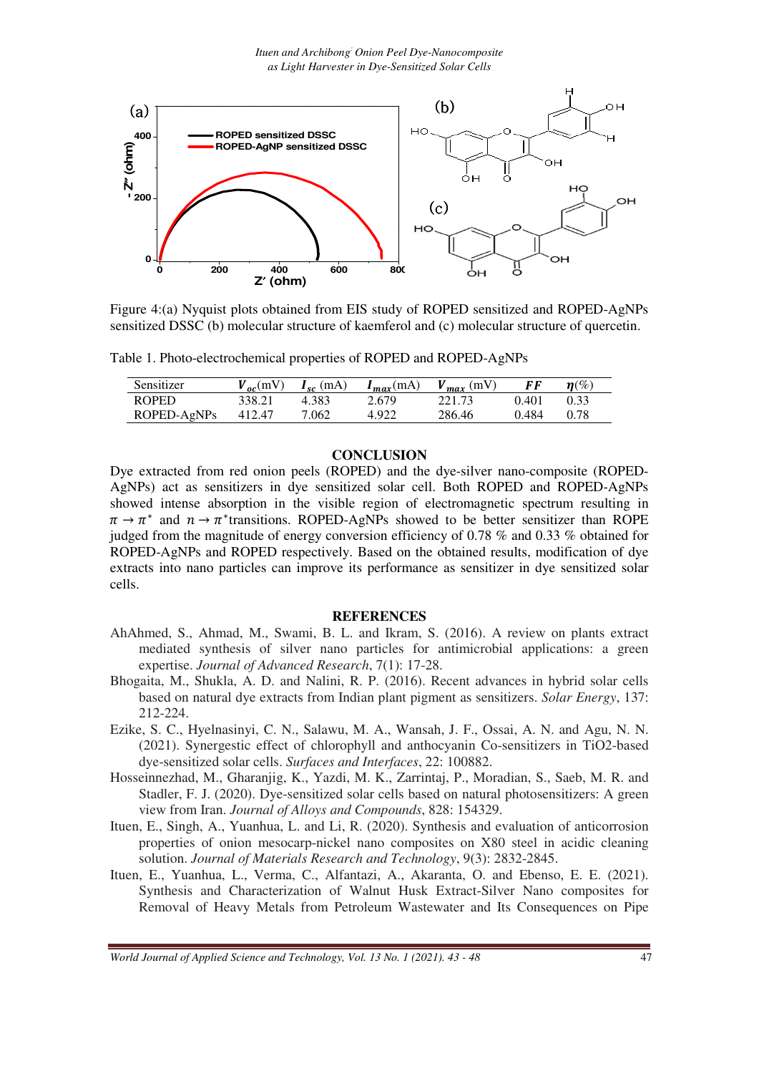

Figure 4:(a) Nyquist plots obtained from EIS study of ROPED sensitized and ROPED-AgNPs sensitized DSSC (b) molecular structure of kaemferol and (c) molecular structure of quercetin.

Table 1. Photo-electrochemical properties of ROPED and ROPED-AgNPs

| Sensitizer   | $V_{ac}$ (mV) | $I_{sc}$ (mA) | $I_{max}(mA)$ | $V_{max}$ (mV) |       | $\eta(\%)$ |
|--------------|---------------|---------------|---------------|----------------|-------|------------|
| <b>ROPED</b> | 338.21        | 4.383         | 2.679         | 221.73         | 0.401 | 0.33       |
| ROPED-AgNPs  | 412.47        | 7.062         | 4.922         | 286.46         | 0.484 | O 78       |

#### **CONCLUSION**

Dye extracted from red onion peels (ROPED) and the dye-silver nano-composite (ROPED-AgNPs) act as sensitizers in dye sensitized solar cell. Both ROPED and ROPED-AgNPs showed intense absorption in the visible region of electromagnetic spectrum resulting in  $\pi \to \pi^*$  and  $n \to \pi^*$ transitions. ROPED-AgNPs showed to be better sensitizer than ROPE judged from the magnitude of energy conversion efficiency of 0.78 % and 0.33 % obtained for ROPED-AgNPs and ROPED respectively. Based on the obtained results, modification of dye extracts into nano particles can improve its performance as sensitizer in dye sensitized solar cells.

#### **REFERENCES**

- AhAhmed, S., Ahmad, M., Swami, B. L. and Ikram, S. (2016). A review on plants extract mediated synthesis of silver nano particles for antimicrobial applications: a green expertise. *Journal of Advanced Research*, 7(1): 17-28.
- Bhogaita, M., Shukla, A. D. and Nalini, R. P. (2016). Recent advances in hybrid solar cells based on natural dye extracts from Indian plant pigment as sensitizers. *Solar Energy*, 137: 212-224.
- Ezike, S. C., Hyelnasinyi, C. N., Salawu, M. A., Wansah, J. F., Ossai, A. N. and Agu, N. N. (2021). Synergestic effect of chlorophyll and anthocyanin Co-sensitizers in TiO2-based dye-sensitized solar cells. *Surfaces and Interfaces*, 22: 100882.
- Hosseinnezhad, M., Gharanjig, K., Yazdi, M. K., Zarrintaj, P., Moradian, S., Saeb, M. R. and Stadler, F. J. (2020). Dye-sensitized solar cells based on natural photosensitizers: A green view from Iran. *Journal of Alloys and Compounds*, 828: 154329.
- Ituen, E., Singh, A., Yuanhua, L. and Li, R. (2020). Synthesis and evaluation of anticorrosion properties of onion mesocarp-nickel nano composites on X80 steel in acidic cleaning solution. *Journal of Materials Research and Technology*, 9(3): 2832-2845.
- Ituen, E., Yuanhua, L., Verma, C., Alfantazi, A., Akaranta, O. and Ebenso, E. E. (2021). Synthesis and Characterization of Walnut Husk Extract-Silver Nano composites for Removal of Heavy Metals from Petroleum Wastewater and Its Consequences on Pipe

*World Journal of Applied Science and Technology, Vol. 13 No. 1 (2021). 43 - 48* 47